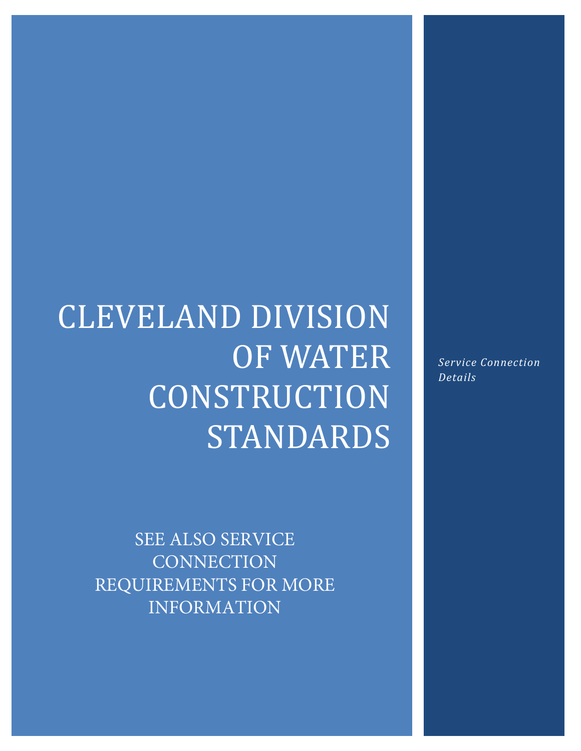# CLEVELAND DIVISION OF WATER CONSTRUCTION STANDARDS

SEE ALSO SERVICE **CONNECTION** REQUIREMENTS FOR MORE INFORMATION

*Service Connection Details*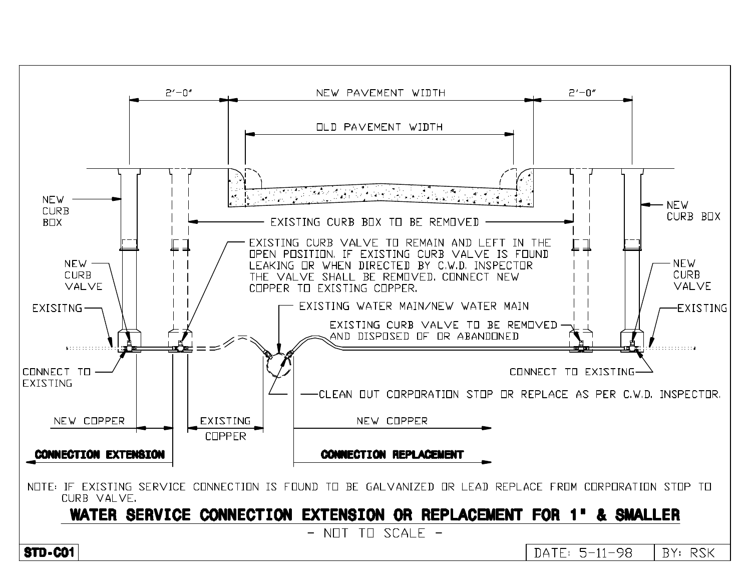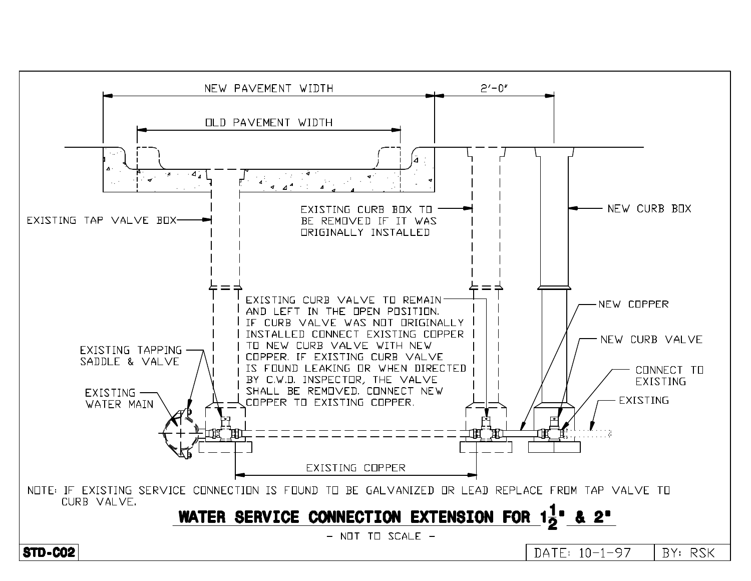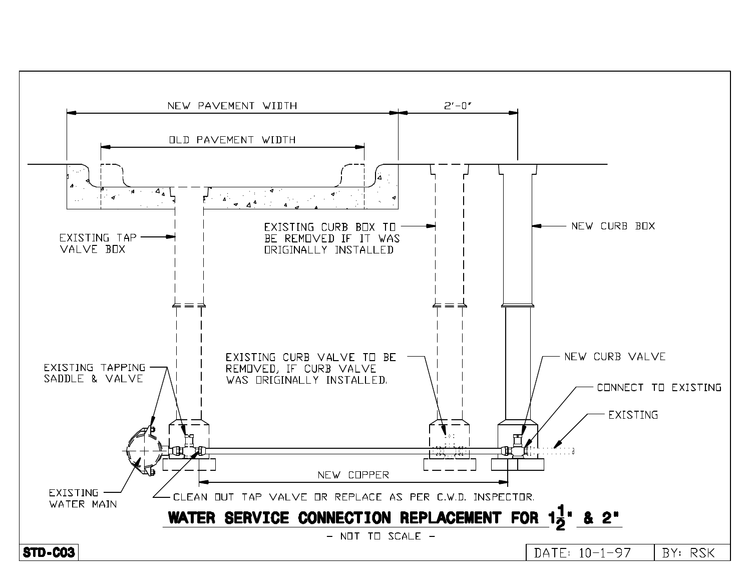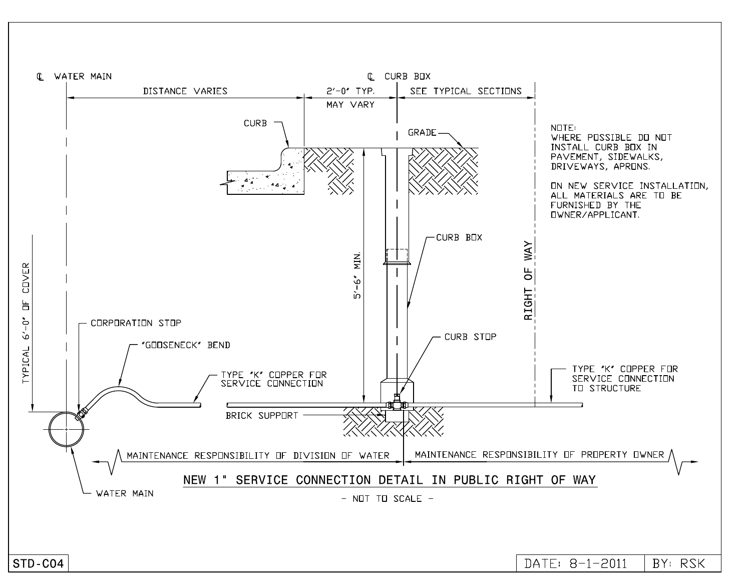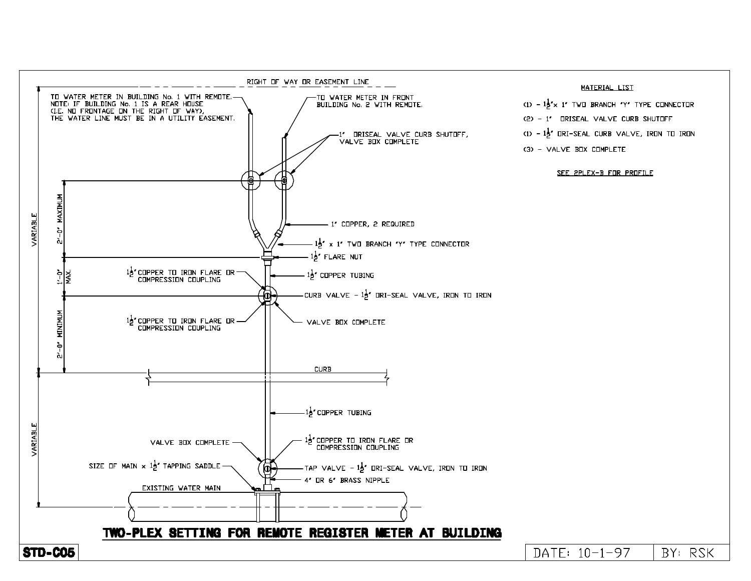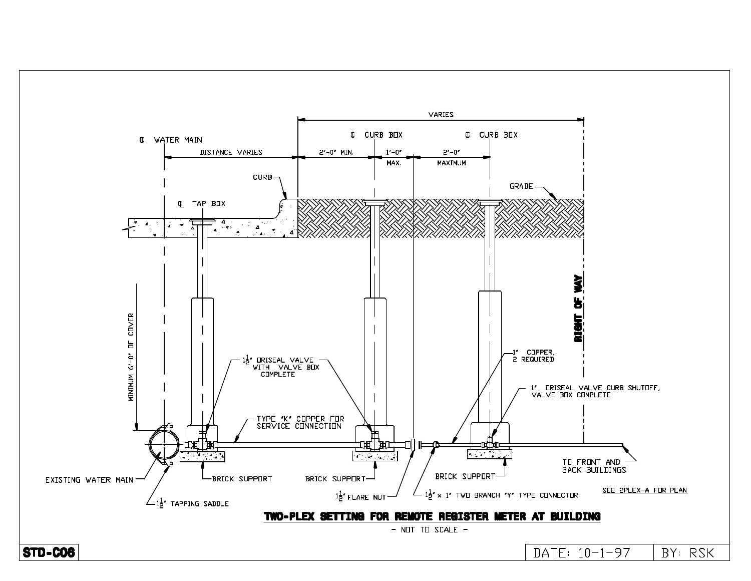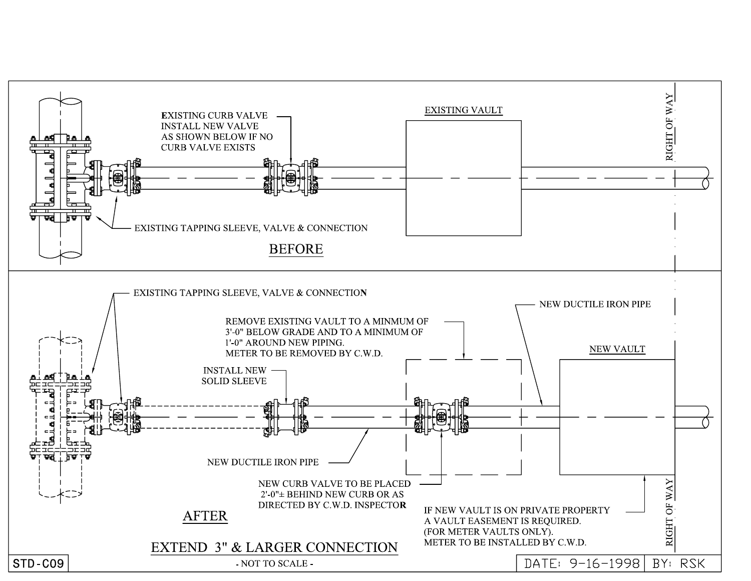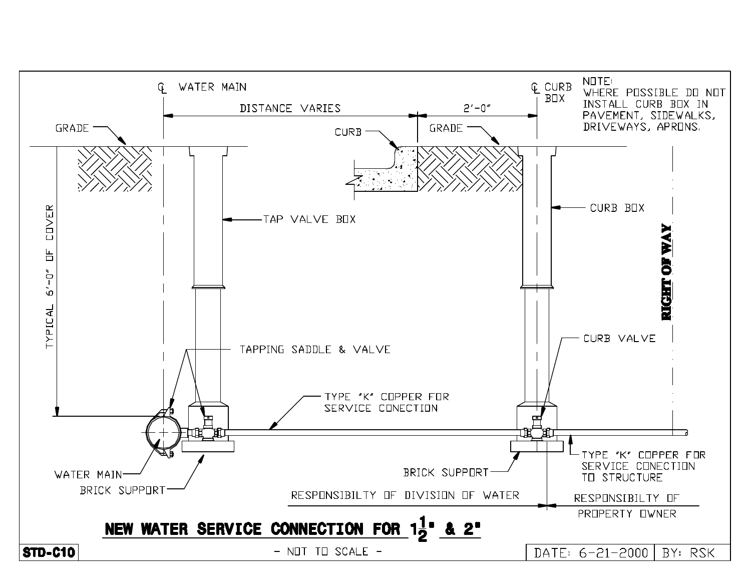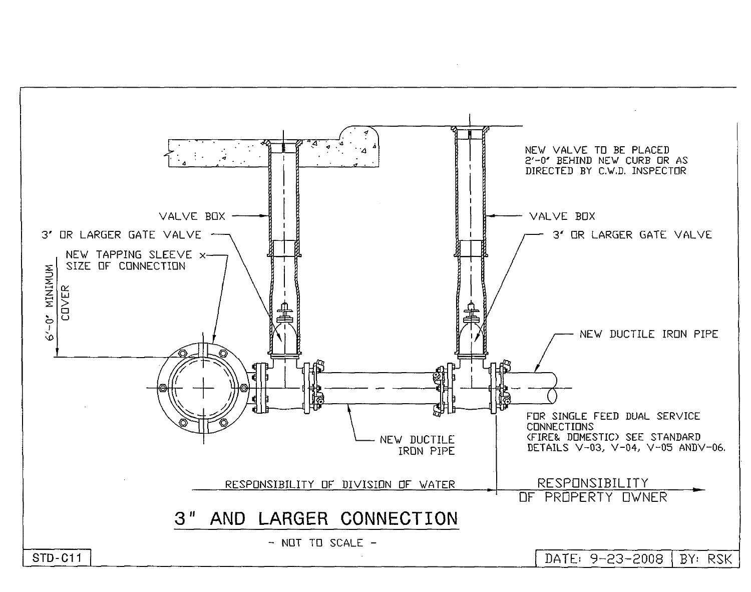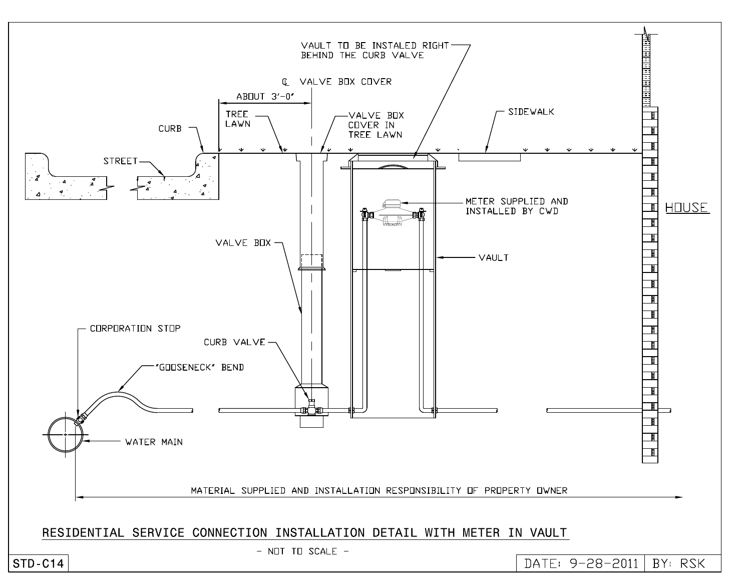

 $-$  NOT TO SCALE  $-$ 

DATE: 9-28-2011 BY: RSK

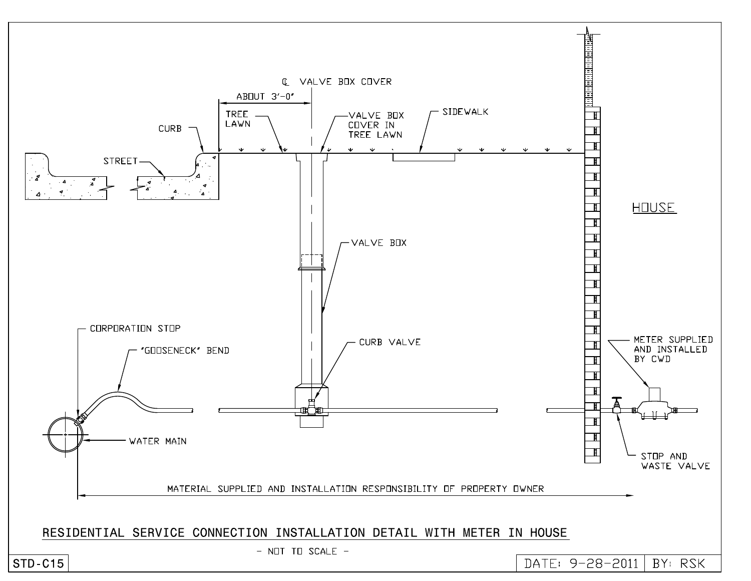

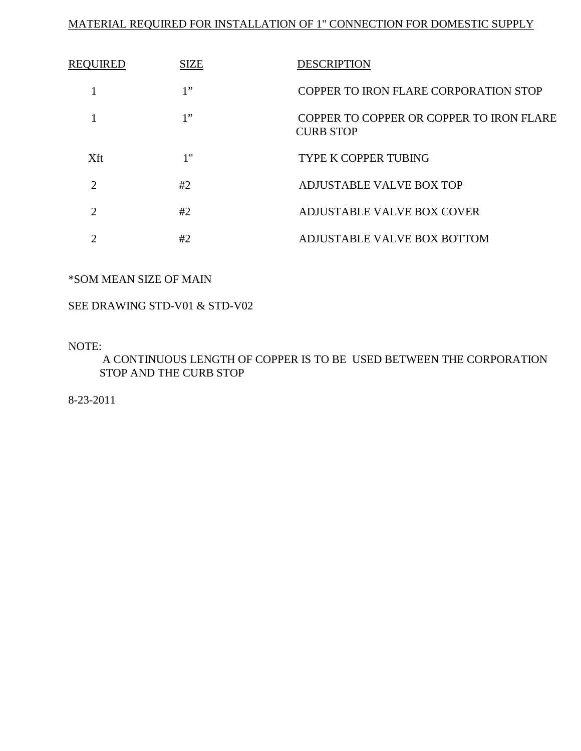## MATERIAL REQUIRED FOR INSTALLATION OF 1" CONNECTION FOR DOMESTIC SUPPLY

| REQUIRED | <b>SIZE</b> | <b>DESCRIPTION</b>                                           |
|----------|-------------|--------------------------------------------------------------|
|          | 1"          | COPPER TO IRON FLARE CORPORATION STOP                        |
|          | 1"          | COPPER TO COPPER OR COPPER TO IRON FLARE<br><b>CURB STOP</b> |
| Xft      | 1"          | <b>TYPE K COPPER TUBING</b>                                  |
| 2        | #2          | <b>ADJUSTABLE VALVE BOX TOP</b>                              |
| 2        | #2          | ADJUSTABLE VALVE BOX COVER                                   |
|          | #2          | ADJUSTABLE VALVE BOX BOTTOM                                  |

## \*SOM MEAN SIZE OF MAIN

## SEE DRAWING STD-V01 & STD-V02

#### NOTE:

 A CONTINUOUS LENGTH OF COPPER IS TO BE USED BETWEEN THE CORPORATION STOP AND THE CURB STOP

#### 8-23-2011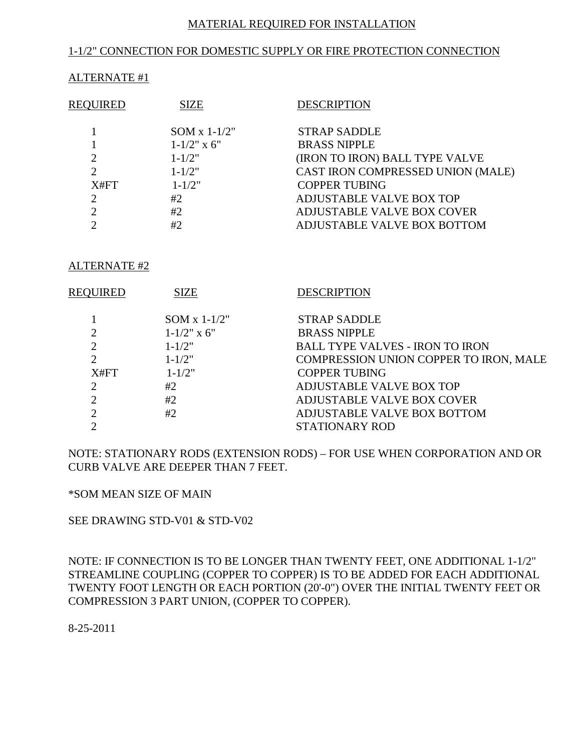## 1-1/2" CONNECTION FOR DOMESTIC SUPPLY OR FIRE PROTECTION CONNECTION

## ALTERNATE #1

| REOUIRED      | <b>SIZE</b>      | <b>DESCRIPTION</b>                |
|---------------|------------------|-----------------------------------|
|               | SOM $x 1-1/2$ "  | <b>STRAP SADDLE</b>               |
|               | $1 - 1/2$ " x 6" | <b>BRASS NIPPLE</b>               |
|               | $1 - 1/2"$       | (IRON TO IRON) BALL TYPE VALVE    |
|               | $1 - 1/2"$       | CAST IRON COMPRESSED UNION (MALE) |
| X#FT          | $1 - 1/2"$       | <b>COPPER TUBING</b>              |
|               | #2               | <b>ADJUSTABLE VALVE BOX TOP</b>   |
| $\mathcal{D}$ | #2               | ADJUSTABLE VALVE BOX COVER        |
|               | #2               | ADJUSTABLE VALVE BOX BOTTOM       |
|               |                  |                                   |

#### ALTERNATE #2

| REQUIRED                    | <b>SIZE</b>      | <b>DESCRIPTION</b>                     |
|-----------------------------|------------------|----------------------------------------|
|                             | SOM $x 1-1/2$ "  | <b>STRAP SADDLE</b>                    |
|                             |                  |                                        |
|                             | $1 - 1/2$ " x 6" | <b>BRASS NIPPLE</b>                    |
| $\mathcal{D}_{\mathcal{L}}$ | $1 - 1/2"$       | <b>BALL TYPE VALVES - IRON TO IRON</b> |
|                             | $1 - 1/2"$       | COMPRESSION UNION COPPER TO IRON, MALE |
| X#FT                        | $1 - 1/2"$       | <b>COPPER TUBING</b>                   |
|                             | #2               | ADJUSTABLE VALVE BOX TOP               |
|                             | #2               | ADJUSTABLE VALVE BOX COVER             |
| $\bigcap$                   | #2               | ADJUSTABLE VALVE BOX BOTTOM            |
|                             |                  | STATIONARY ROD                         |
|                             |                  |                                        |

NOTE: STATIONARY RODS (EXTENSION RODS) – FOR USE WHEN CORPORATION AND OR CURB VALVE ARE DEEPER THAN 7 FEET.

\*SOM MEAN SIZE OF MAIN

SEE DRAWING STD-V01 & STD-V02

NOTE: IF CONNECTION IS TO BE LONGER THAN TWENTY FEET, ONE ADDITIONAL 1-1/2" STREAMLINE COUPLING (COPPER TO COPPER) IS TO BE ADDED FOR EACH ADDITIONAL TWENTY FOOT LENGTH OR EACH PORTION (20'-0") OVER THE INITIAL TWENTY FEET OR COMPRESSION 3 PART UNION, (COPPER TO COPPER).

8-25-2011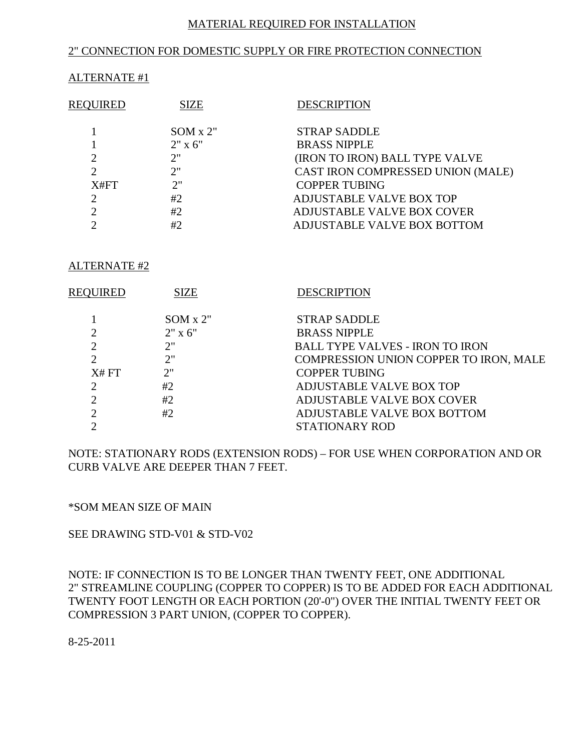## 2" CONNECTION FOR DOMESTIC SUPPLY OR FIRE PROTECTION CONNECTION

## ALTERNATE #1

| <b>REOUIRED</b> | <b>SIZE</b>     | <b>DESCRIPTION</b>                |
|-----------------|-----------------|-----------------------------------|
|                 | $SOM \times 2"$ | <b>STRAP SADDLE</b>               |
|                 | $2" \times 6"$  | <b>BRASS NIPPLE</b>               |
| ◠               | 2"              | (IRON TO IRON) BALL TYPE VALVE    |
| っ               | 2"              | CAST IRON COMPRESSED UNION (MALE) |
| X#FT            | 2"              | <b>COPPER TUBING</b>              |
| 2               | #2              | <b>ADJUSTABLE VALVE BOX TOP</b>   |
| ◠               | #2              | ADJUSTABLE VALVE BOX COVER        |
| ⌒               | #2              | ADJUSTABLE VALVE BOX BOTTOM       |

## ALTERNATE #2

| REQUIRED       | <b>SIZE</b>     | <b>DESCRIPTION</b>                     |
|----------------|-----------------|----------------------------------------|
|                |                 |                                        |
|                | $SOM \times 2"$ | <b>STRAP SADDLE</b>                    |
|                | $2" \times 6"$  | <b>BRASS NIPPLE</b>                    |
| $\overline{2}$ | 2"              | <b>BALL TYPE VALVES - IRON TO IRON</b> |
|                | 2"              | COMPRESSION UNION COPPER TO IRON, MALE |
| X# FT          | 2"              | <b>COPPER TUBING</b>                   |
|                | #2              | ADJUSTABLE VALVE BOX TOP               |
|                | #2              | ADJUSTABLE VALVE BOX COVER             |
|                | #2              | ADJUSTABLE VALVE BOX BOTTOM            |
|                |                 | STATIONARY ROD                         |

NOTE: STATIONARY RODS (EXTENSION RODS) – FOR USE WHEN CORPORATION AND OR CURB VALVE ARE DEEPER THAN 7 FEET.

## \*SOM MEAN SIZE OF MAIN

SEE DRAWING STD-V01 & STD-V02

NOTE: IF CONNECTION IS TO BE LONGER THAN TWENTY FEET, ONE ADDITIONAL 2" STREAMLINE COUPLING (COPPER TO COPPER) IS TO BE ADDED FOR EACH ADDITIONAL TWENTY FOOT LENGTH OR EACH PORTION (20'-0") OVER THE INITIAL TWENTY FEET OR COMPRESSION 3 PART UNION, (COPPER TO COPPER).

8-25-2011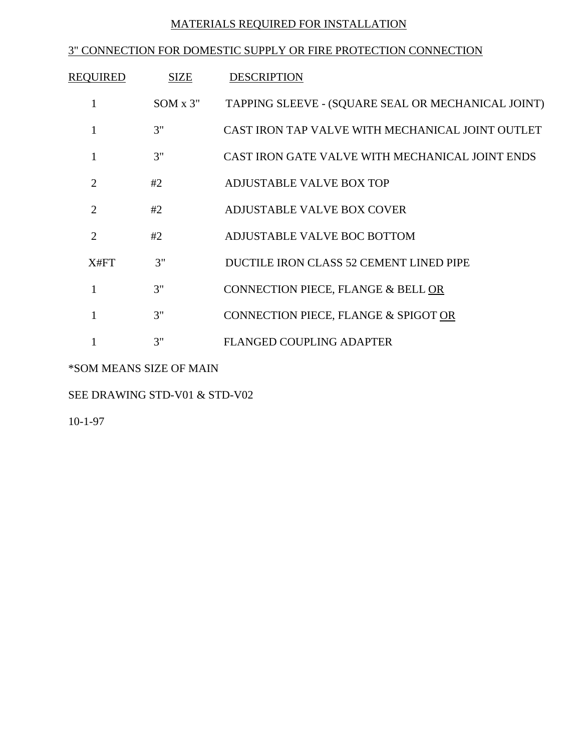# 3" CONNECTION FOR DOMESTIC SUPPLY OR FIRE PROTECTION CONNECTION

| REQUIRED                    | <b>SIZE</b>     | <b>DESCRIPTION</b>                                 |
|-----------------------------|-----------------|----------------------------------------------------|
| 1                           | $SOM \times 3"$ | TAPPING SLEEVE - (SQUARE SEAL OR MECHANICAL JOINT) |
| 1                           | 3"              | CAST IRON TAP VALVE WITH MECHANICAL JOINT OUTLET   |
|                             | 3"              | CAST IRON GATE VALVE WITH MECHANICAL JOINT ENDS    |
| 2                           | #2              | ADJUSTABLE VALVE BOX TOP                           |
| $\mathcal{D}_{\mathcal{L}}$ | #2              | ADJUSTABLE VALVE BOX COVER                         |
| $\overline{2}$              | #2              | ADJUSTABLE VALVE BOC BOTTOM                        |
| X#FT                        | 3"              | DUCTILE IRON CLASS 52 CEMENT LINED PIPE            |
| 1                           | 3"              | CONNECTION PIECE, FLANGE & BELL OR                 |
|                             | 3"              | CONNECTION PIECE, FLANGE & SPIGOT OR               |
|                             | 3"              | <b>FLANGED COUPLING ADAPTER</b>                    |

\*SOM MEANS SIZE OF MAIN

SEE DRAWING STD-V01 & STD-V02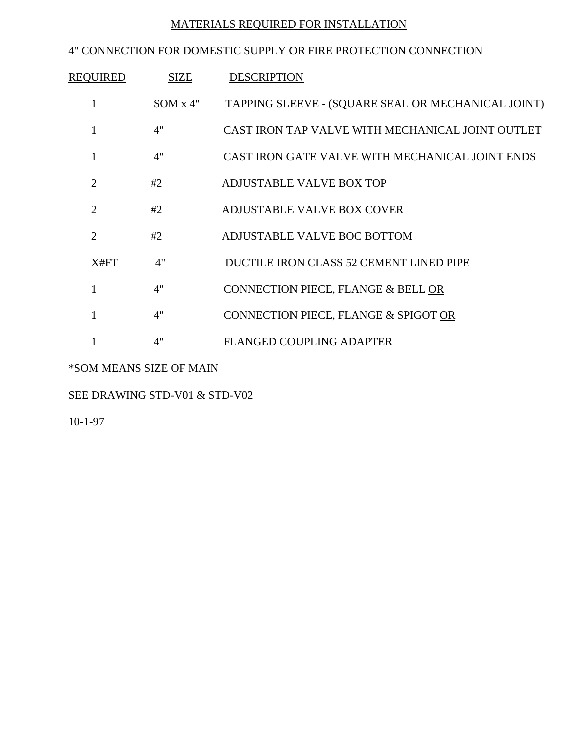# 4" CONNECTION FOR DOMESTIC SUPPLY OR FIRE PROTECTION CONNECTION

| REQUIRED                    | <b>SIZE</b> | <b>DESCRIPTION</b>                                 |
|-----------------------------|-------------|----------------------------------------------------|
| 1                           | SOM x 4"    | TAPPING SLEEVE - (SQUARE SEAL OR MECHANICAL JOINT) |
| 1                           | 4"          | CAST IRON TAP VALVE WITH MECHANICAL JOINT OUTLET   |
| 1                           | 4"          | CAST IRON GATE VALVE WITH MECHANICAL JOINT ENDS    |
| $\mathcal{D}_{\cdot}$       | #2          | ADJUSTABLE VALVE BOX TOP                           |
| $\mathcal{D}_{\mathcal{L}}$ | #2          | <b>ADJUSTABLE VALVE BOX COVER</b>                  |
| $\overline{2}$              | #2          | ADJUSTABLE VALVE BOC BOTTOM                        |
| X#FT                        | 4"          | DUCTILE IRON CLASS 52 CEMENT LINED PIPE            |
| 1                           | 4"          | CONNECTION PIECE, FLANGE & BELL OR                 |
|                             | 4"          | CONNECTION PIECE, FLANGE & SPIGOT OR               |
|                             | 4"          | <b>FLANGED COUPLING ADAPTER</b>                    |

\*SOM MEANS SIZE OF MAIN

SEE DRAWING STD-V01 & STD-V02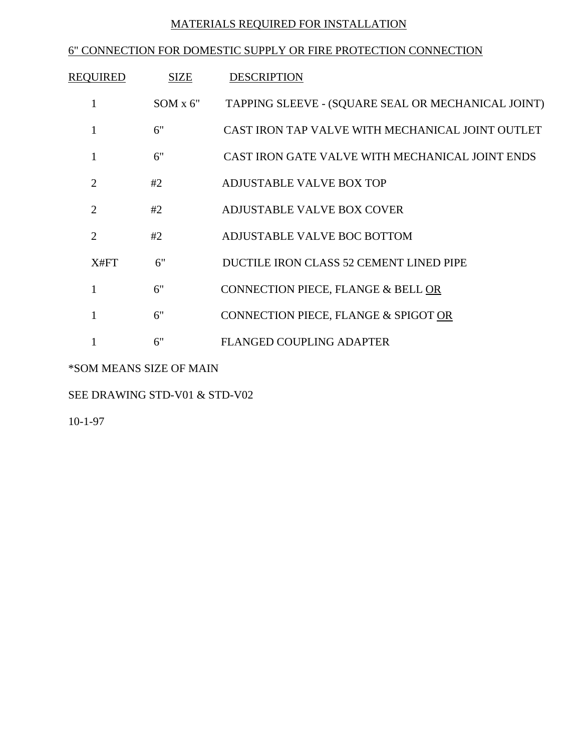# 6" CONNECTION FOR DOMESTIC SUPPLY OR FIRE PROTECTION CONNECTION

| REQUIRED                    | <b>SIZE</b>     | <b>DESCRIPTION</b>                                 |
|-----------------------------|-----------------|----------------------------------------------------|
| 1                           | $SOM \times 6"$ | TAPPING SLEEVE - (SQUARE SEAL OR MECHANICAL JOINT) |
| 1                           | 6"              | CAST IRON TAP VALVE WITH MECHANICAL JOINT OUTLET   |
|                             | 6"              | CAST IRON GATE VALVE WITH MECHANICAL JOINT ENDS    |
| 2                           | #2              | ADJUSTABLE VALVE BOX TOP                           |
| $\mathcal{D}_{\mathcal{L}}$ | #2              | <b>ADJUSTABLE VALVE BOX COVER</b>                  |
| $\overline{2}$              | #2              | ADJUSTABLE VALVE BOC BOTTOM                        |
| X#FT                        | 6"              | DUCTILE IRON CLASS 52 CEMENT LINED PIPE            |
| 1                           | 6"              | CONNECTION PIECE, FLANGE & BELL OR                 |
|                             | 6"              | CONNECTION PIECE, FLANGE & SPIGOT OR               |
|                             | 6"              | <b>FLANGED COUPLING ADAPTER</b>                    |

\*SOM MEANS SIZE OF MAIN

SEE DRAWING STD-V01 & STD-V02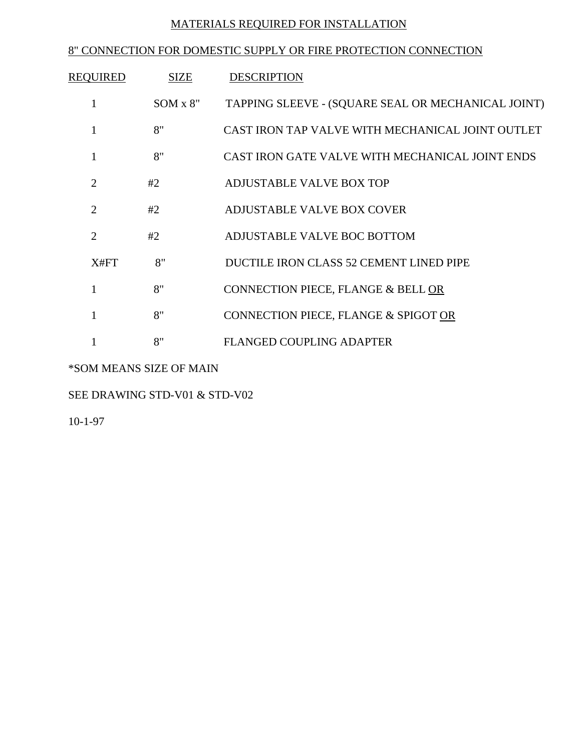# 8" CONNECTION FOR DOMESTIC SUPPLY OR FIRE PROTECTION CONNECTION

| REQUIRED              | <b>SIZE</b>     | <b>DESCRIPTION</b>                                 |
|-----------------------|-----------------|----------------------------------------------------|
| 1                     | $SOM \times 8"$ | TAPPING SLEEVE - (SQUARE SEAL OR MECHANICAL JOINT) |
| 1                     | 8"              | CAST IRON TAP VALVE WITH MECHANICAL JOINT OUTLET   |
| 1                     | 8"              | CAST IRON GATE VALVE WITH MECHANICAL JOINT ENDS    |
| $\mathcal{D}_{\cdot}$ | #2              | ADJUSTABLE VALVE BOX TOP                           |
| $\mathcal{D}_{\cdot}$ | #2              | ADJUSTABLE VALVE BOX COVER                         |
| $\overline{2}$        | #2              | ADJUSTABLE VALVE BOC BOTTOM                        |
| X#FT                  | 8"              | DUCTILE IRON CLASS 52 CEMENT LINED PIPE            |
| 1                     | 8"              | CONNECTION PIECE, FLANGE & BELL OR                 |
|                       | 8"              | CONNECTION PIECE, FLANGE & SPIGOT OR               |
|                       | 8"              | <b>FLANGED COUPLING ADAPTER</b>                    |

\*SOM MEANS SIZE OF MAIN

SEE DRAWING STD-V01 & STD-V02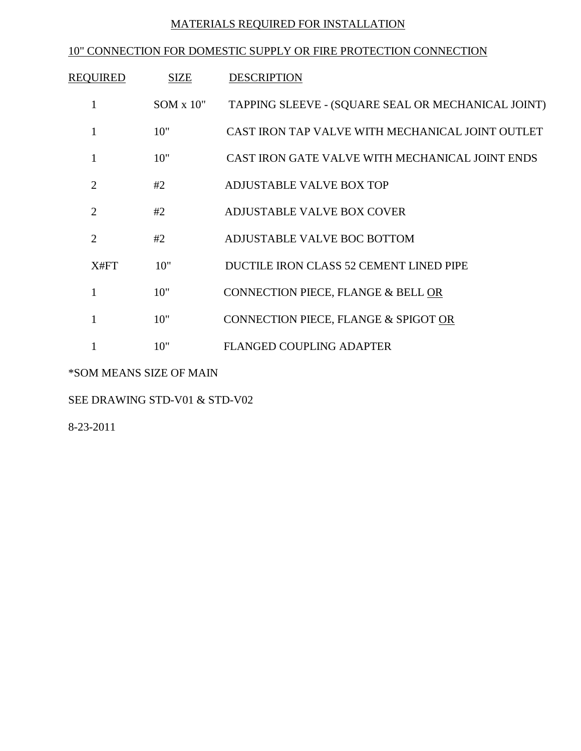## 10" CONNECTION FOR DOMESTIC SUPPLY OR FIRE PROTECTION CONNECTION

| REQUIRED       | <b>SIZE</b>      | <b>DESCRIPTION</b>                                 |
|----------------|------------------|----------------------------------------------------|
| 1              | $SOM \times 10"$ | TAPPING SLEEVE - (SQUARE SEAL OR MECHANICAL JOINT) |
| 1              | 10"              | CAST IRON TAP VALVE WITH MECHANICAL JOINT OUTLET   |
| 1              | 10"              | CAST IRON GATE VALVE WITH MECHANICAL JOINT ENDS    |
| $\overline{2}$ | #2               | <b>ADJUSTABLE VALVE BOX TOP</b>                    |
| $\overline{2}$ | #2               | ADJUSTABLE VALVE BOX COVER                         |
| $\overline{2}$ | #2               | ADJUSTABLE VALVE BOC BOTTOM                        |
| X#FT           | 10"              | DUCTILE IRON CLASS 52 CEMENT LINED PIPE            |
| 1              | 10"              | CONNECTION PIECE, FLANGE & BELL OR                 |
|                | 10"              | CONNECTION PIECE, FLANGE & SPIGOT OR               |
|                | 10"              | <b>FLANGED COUPLING ADAPTER</b>                    |

\*SOM MEANS SIZE OF MAIN

SEE DRAWING STD-V01 & STD-V02

8-23-2011